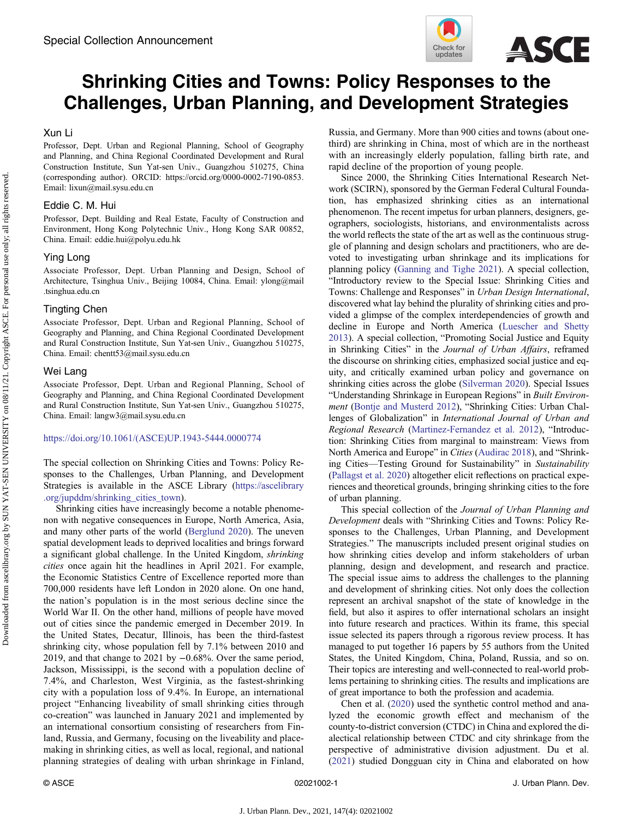

# Shrinking Cities and Towns: Policy Responses to the Challenges, Urban Planning, and Development Strategies

## Xun Li

Professor, Dept. Urban and Regional Planning, School of Geography and Planning, and China Regional Coordinated Development and Rural Construction Institute, Sun Yat-sen Univ., Guangzhou 510275, China (corresponding author). ORCID: [https://orcid.org/0000-0002-7190-0853.](https://orcid.org/0000-0002-7190-0853) Email: [lixun@mail.sysu.edu.cn](mailto:lixun@mail.sysu.edu.cn)

### Eddie C. M. Hui

Professor, Dept. Building and Real Estate, Faculty of Construction and Environment, Hong Kong Polytechnic Univ., Hong Kong SAR 00852, China. Email: [eddie.hui@polyu.edu.hk](mailto:eddie.hui@polyu.edu.hk)

### Ying Long

Associate Professor, Dept. Urban Planning and Design, School of Architecture, Tsinghua Univ., Beijing 10084, China. Email: [ylong@mail](mailto:ylong@mail.tsinghua.edu.cn) [.tsinghua.edu.cn](mailto:ylong@mail.tsinghua.edu.cn)

### Tingting Chen

Associate Professor, Dept. Urban and Regional Planning, School of Geography and Planning, and China Regional Coordinated Development and Rural Construction Institute, Sun Yat-sen Univ., Guangzhou 510275, China. Email: [chentt53@mail.sysu.edu.cn](mailto:chentt53@mail.sysu.edu.cn)

### Wei Lang

Associate Professor, Dept. Urban and Regional Planning, School of Geography and Planning, and China Regional Coordinated Development and Rural Construction Institute, Sun Yat-sen Univ., Guangzhou 510275, China. Email: [langw3@mail.sysu.edu.cn](mailto:langw3@mail.sysu.edu.cn)

#### [https://doi.org/10.1061/\(ASCE\)UP.1943-5444.0000774](https://doi.org/10.1061/(ASCE)UP.1943-5444.0000774)

The special collection on Shrinking Cities and Towns: Policy Responses to the Challenges, Urban Planning, and Development Strategies is available in the ASCE Library ([https://ascelibrary](https://ascelibrary.org/jupddm/shrinking_cities_town) [.org/jupddm/shrinking\\_cities\\_town\)](https://ascelibrary.org/jupddm/shrinking_cities_town).

Shrinking cities have increasingly become a notable phenomenon with negative consequences in Europe, North America, Asia, and many other parts of the world [\(Berglund 2020\)](#page-1-0). The uneven spatial development leads to deprived localities and brings forward a significant global challenge. In the United Kingdom, shrinking cities once again hit the headlines in April 2021. For example, the Economic Statistics Centre of Excellence reported more than 700,000 residents have left London in 2020 alone. On one hand, the nation's population is in the most serious decline since the World War II. On the other hand, millions of people have moved out of cities since the pandemic emerged in December 2019. In the United States, Decatur, Illinois, has been the third-fastest shrinking city, whose population fell by 7.1% between 2010 and 2019, and that change to 2021 by −0.68%. Over the same period, Jackson, Mississippi, is the second with a population decline of 7.4%, and Charleston, West Virginia, as the fastest-shrinking city with a population loss of 9.4%. In Europe, an international project "Enhancing liveability of small shrinking cities through co-creation" was launched in January 2021 and implemented by an international consortium consisting of researchers from Finland, Russia, and Germany, focusing on the liveability and placemaking in shrinking cities, as well as local, regional, and national planning strategies of dealing with urban shrinkage in Finland,

Russia, and Germany. More than 900 cities and towns (about onethird) are shrinking in China, most of which are in the northeast with an increasingly elderly population, falling birth rate, and rapid decline of the proportion of young people.

Since 2000, the Shrinking Cities International Research Network (SCIRN), sponsored by the German Federal Cultural Foundation, has emphasized shrinking cities as an international phenomenon. The recent impetus for urban planners, designers, geographers, sociologists, historians, and environmentalists across the world reflects the state of the art as well as the continuous struggle of planning and design scholars and practitioners, who are devoted to investigating urban shrinkage and its implications for planning policy ([Ganning and Tighe 2021](#page-1-0)). A special collection, "Introductory review to the Special Issue: Shrinking Cities and Towns: Challenge and Responses" in Urban Design International, discovered what lay behind the plurality of shrinking cities and provided a glimpse of the complex interdependencies of growth and decline in Europe and North America ([Luescher and Shetty](#page-2-0) [2013](#page-2-0)). A special collection, "Promoting Social Justice and Equity in Shrinking Cities" in the Journal of Urban Affairs, reframed the discourse on shrinking cities, emphasized social justice and equity, and critically examined urban policy and governance on shrinking cities across the globe [\(Silverman 2020\)](#page-2-0). Special Issues "Understanding Shrinkage in European Regions" in Built Environment ([Bontje and Musterd 2012](#page-1-0)), "Shrinking Cities: Urban Challenges of Globalization" in International Journal of Urban and Regional Research [\(Martinez-Fernandez et al. 2012](#page-2-0)), "Introduction: Shrinking Cities from marginal to mainstream: Views from North America and Europe" in Cities ([Audirac 2018](#page-1-0)), and "Shrinking Cities—Testing Ground for Sustainability" in Sustainability [\(Pallagst et al. 2020](#page-2-0)) altogether elicit reflections on practical experiences and theoretical grounds, bringing shrinking cities to the fore of urban planning.

This special collection of the Journal of Urban Planning and Development deals with "Shrinking Cities and Towns: Policy Responses to the Challenges, Urban Planning, and Development Strategies." The manuscripts included present original studies on how shrinking cities develop and inform stakeholders of urban planning, design and development, and research and practice. The special issue aims to address the challenges to the planning and development of shrinking cities. Not only does the collection represent an archival snapshot of the state of knowledge in the field, but also it aspires to offer international scholars an insight into future research and practices. Within its frame, this special issue selected its papers through a rigorous review process. It has managed to put together 16 papers by 55 authors from the United States, the United Kingdom, China, Poland, Russia, and so on. Their topics are interesting and well-connected to real-world problems pertaining to shrinking cities. The results and implications are of great importance to both the profession and academia.

Chen et al. [\(2020](#page-1-0)) used the synthetic control method and analyzed the economic growth effect and mechanism of the county-to-district conversion (CTDC) in China and explored the dialectical relationship between CTDC and city shrinkage from the perspective of administrative division adjustment. Du et al. [\(2021](#page-1-0)) studied Dongguan city in China and elaborated on how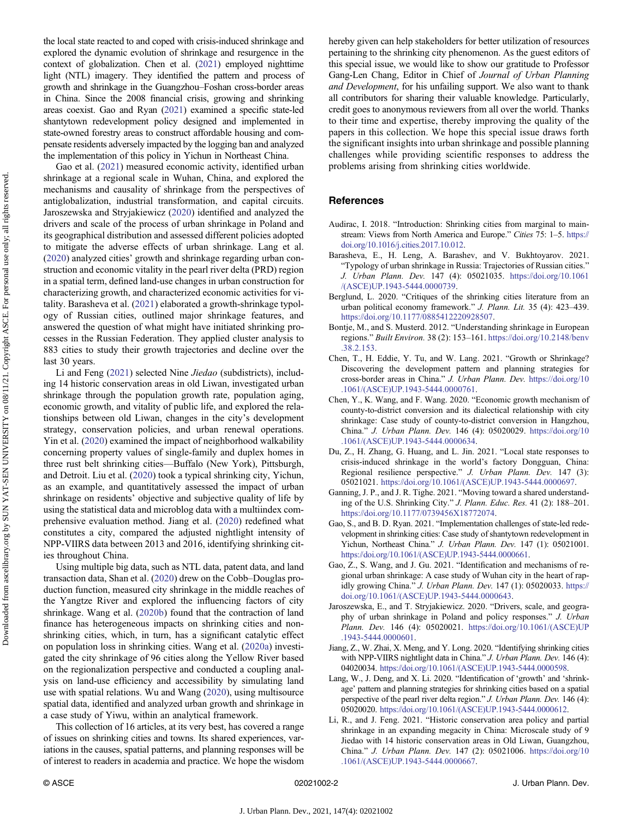<span id="page-1-0"></span>the local state reacted to and coped with crisis-induced shrinkage and explored the dynamic evolution of shrinkage and resurgence in the context of globalization. Chen et al. (2021) employed nighttime light (NTL) imagery. They identified the pattern and process of growth and shrinkage in the Guangzhou–Foshan cross-border areas in China. Since the 2008 financial crisis, growing and shrinking areas coexist. Gao and Ryan (2021) examined a specific state-led shantytown redevelopment policy designed and implemented in state-owned forestry areas to construct affordable housing and compensate residents adversely impacted by the logging ban and analyzed the implementation of this policy in Yichun in Northeast China.

Gao et al. (2021) measured economic activity, identified urban shrinkage at a regional scale in Wuhan, China, and explored the mechanisms and causality of shrinkage from the perspectives of antiglobalization, industrial transformation, and capital circuits. Jaroszewska and Stryjakiewicz (2020) identified and analyzed the drivers and scale of the process of urban shrinkage in Poland and its geographical distribution and assessed different policies adopted to mitigate the adverse effects of urban shrinkage. Lang et al. (2020) analyzed cities' growth and shrinkage regarding urban construction and economic vitality in the pearl river delta (PRD) region in a spatial term, defined land-use changes in urban construction for characterizing growth, and characterized economic activities for vitality. Barasheva et al. (2021) elaborated a growth-shrinkage typology of Russian cities, outlined major shrinkage features, and answered the question of what might have initiated shrinking processes in the Russian Federation. They applied cluster analysis to 883 cities to study their growth trajectories and decline over the last 30 years.

Li and Feng (2021) selected Nine Jiedao (subdistricts), including 14 historic conservation areas in old Liwan, investigated urban shrinkage through the population growth rate, population aging, economic growth, and vitality of public life, and explored the relationships between old Liwan, changes in the city's development strategy, conservation policies, and urban renewal operations. Yin et al. ([2020\)](#page-2-0) examined the impact of neighborhood walkability concerning property values of single-family and duplex homes in three rust belt shrinking cities—Buffalo (New York), Pittsburgh, and Detroit. Liu et al. ([2020\)](#page-2-0) took a typical shrinking city, Yichun, as an example, and quantitatively assessed the impact of urban shrinkage on residents' objective and subjective quality of life by using the statistical data and microblog data with a multiindex comprehensive evaluation method. Jiang et al. (2020) redefined what constitutes a city, compared the adjusted nightlight intensity of NPP-VIIRS data between 2013 and 2016, identifying shrinking cities throughout China.

Using multiple big data, such as NTL data, patent data, and land transaction data, Shan et al. [\(2020](#page-2-0)) drew on the Cobb–Douglas production function, measured city shrinkage in the middle reaches of the Yangtze River and explored the influencing factors of city shrinkage. Wang et al. ([2020b\)](#page-2-0) found that the contraction of land finance has heterogeneous impacts on shrinking cities and nonshrinking cities, which, in turn, has a significant catalytic effect on population loss in shrinking cities. Wang et al. ([2020a](#page-2-0)) investigated the city shrinkage of 96 cities along the Yellow River based on the regionalization perspective and conducted a coupling analysis on land-use efficiency and accessibility by simulating land use with spatial relations. Wu and Wang ([2020\)](#page-2-0), using multisource spatial data, identified and analyzed urban growth and shrinkage in a case study of Yiwu, within an analytical framework.

This collection of 16 articles, at its very best, has covered a range of issues on shrinking cities and towns. Its shared experiences, variations in the causes, spatial patterns, and planning responses will be of interest to readers in academia and practice. We hope the wisdom hereby given can help stakeholders for better utilization of resources pertaining to the shrinking city phenomenon. As the guest editors of this special issue, we would like to show our gratitude to Professor Gang-Len Chang, Editor in Chief of Journal of Urban Planning and Development, for his unfailing support. We also want to thank all contributors for sharing their valuable knowledge. Particularly, credit goes to anonymous reviewers from all over the world. Thanks to their time and expertise, thereby improving the quality of the papers in this collection. We hope this special issue draws forth the significant insights into urban shrinkage and possible planning challenges while providing scientific responses to address the problems arising from shrinking cities worldwide.

#### **References**

- Audirac, I. 2018. "Introduction: Shrinking cities from marginal to mainstream: Views from North America and Europe." Cities 75: 1-5. [https://](https://doi.org/10.1016/j.cities.2017.10.012) [doi.org/10.1016/j.cities.2017.10.012](https://doi.org/10.1016/j.cities.2017.10.012).
- Barasheva, E., H. Leng, A. Barashev, and V. Bukhtoyarov. 2021. "Typology of urban shrinkage in Russia: Trajectories of Russian cities." J. Urban Plann. Dev. 147 (4): 05021035. [https://doi.org/10.1061](https://doi.org/10.1061/(ASCE)UP.1943-5444.0000739) [/\(ASCE\)UP.1943-5444.0000739.](https://doi.org/10.1061/(ASCE)UP.1943-5444.0000739)
- Berglund, L. 2020. "Critiques of the shrinking cities literature from an urban political economy framework." J. Plann. Lit. 35 (4): 423–439. [https://doi.org/10.1177/0885412220928507.](https://doi.org/10.1177/0885412220928507)
- Bontje, M., and S. Musterd. 2012. "Understanding shrinkage in European regions." Built Environ. 38 (2): 153–161. [https://doi.org/10.2148/benv](https://doi.org/10.2148/benv.38.2.153) [.38.2.153.](https://doi.org/10.2148/benv.38.2.153)
- Chen, T., H. Eddie, Y. Tu, and W. Lang. 2021. "Growth or Shrinkage? Discovering the development pattern and planning strategies for cross-border areas in China." J. Urban Plann. Dev. [https://doi.org/10](https://doi.org/10.1061/(ASCE)UP.1943-5444.0000761) [.1061/\(ASCE\)UP.1943-5444.0000761](https://doi.org/10.1061/(ASCE)UP.1943-5444.0000761).
- Chen, Y., K. Wang, and F. Wang. 2020. "Economic growth mechanism of county-to-district conversion and its dialectical relationship with city shrinkage: Case study of county-to-district conversion in Hangzhou, China." J. Urban Plann. Dev. 146 (4): 05020029. [https://doi.org/10](https://doi.org/10.1061/(ASCE)UP.1943-5444.0000634) [.1061/\(ASCE\)UP.1943-5444.0000634](https://doi.org/10.1061/(ASCE)UP.1943-5444.0000634).
- Du, Z., H. Zhang, G. Huang, and L. Jin. 2021. "Local state responses to crisis-induced shrinkage in the world's factory Dongguan, China: Regional resilience perspective." J. Urban Plann. Dev. 147 (3): 05021021. [https://doi.org/10.1061/\(ASCE\)UP.1943-5444.0000697](https://doi.org/10.1061/(ASCE)UP.1943-5444.0000697).
- Ganning, J. P., and J. R. Tighe. 2021. "Moving toward a shared understanding of the U.S. Shrinking City." J. Plann. Educ. Res. 41 (2): 188–201. [https://doi.org/10.1177/0739456X18772074.](https://doi.org/10.1177/0739456X18772074)
- Gao, S., and B. D. Ryan. 2021. "Implementation challenges of state-led redevelopment in shrinking cities: Case study of shantytown redevelopment in Yichun, Northeast China." J. Urban Plann. Dev. 147 (1): 05021001. [https://doi.org/10.1061/\(ASCE\)UP.1943-5444.0000661](https://doi.org/10.1061/(ASCE)UP.1943-5444.0000661).
- Gao, Z., S. Wang, and J. Gu. 2021. "Identification and mechanisms of regional urban shrinkage: A case study of Wuhan city in the heart of rapidly growing China." J. Urban Plann. Dev. 147 (1): 05020033. [https://](https://doi.org/10.1061/(ASCE)UP.1943-5444.0000643) [doi.org/10.1061/\(ASCE\)UP.1943-5444.0000643.](https://doi.org/10.1061/(ASCE)UP.1943-5444.0000643)
- Jaroszewska, E., and T. Stryjakiewicz. 2020. "Drivers, scale, and geography of urban shrinkage in Poland and policy responses." J. Urban Plann. Dev. 146 (4): 05020021. [https://doi.org/10.1061/\(ASCE\)UP](https://doi.org/10.1061/(ASCE)UP.1943-5444.0000601) [.1943-5444.0000601.](https://doi.org/10.1061/(ASCE)UP.1943-5444.0000601)
- Jiang, Z., W. Zhai, X. Meng, and Y. Long. 2020. "Identifying shrinking cities with NPP-VIIRS nightlight data in China." J. Urban Plann. Dev. 146 (4): 04020034. [https://doi.org/10.1061/\(ASCE\)UP.1943-5444.0000598.](https://doi.org/10.1061/(ASCE)UP.1943-5444.0000598)
- Lang, W., J. Deng, and X. Li. 2020. "Identification of 'growth' and 'shrinkage' pattern and planning strategies for shrinking cities based on a spatial perspective of the pearl river delta region." J. Urban Plann. Dev. 146 (4): 05020020. [https://doi.org/10.1061/\(ASCE\)UP.1943-5444.0000612.](https://doi.org/10.1061/(ASCE)UP.1943-5444.0000612)
- Li, R., and J. Feng. 2021. "Historic conservation area policy and partial shrinkage in an expanding megacity in China: Microscale study of 9 Jiedao with 14 historic conservation areas in Old Liwan, Guangzhou, China." J. Urban Plann. Dev. 147 (2): 05021006. [https://doi.org/10](https://doi.org/10.1061/(ASCE)UP.1943-5444.0000667) [.1061/\(ASCE\)UP.1943-5444.0000667](https://doi.org/10.1061/(ASCE)UP.1943-5444.0000667).